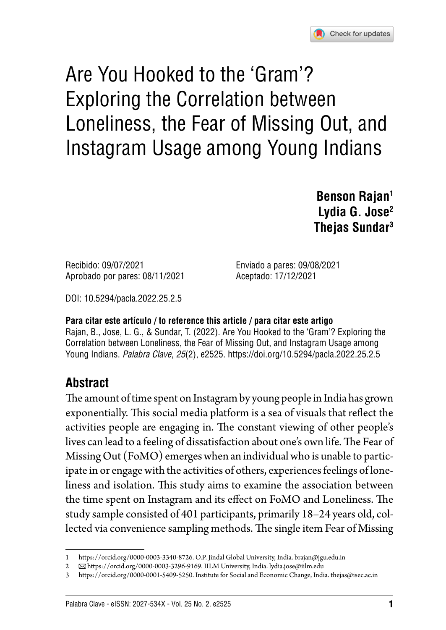

# Are You Hooked to the 'Gram'? Exploring the Correlation between Loneliness, the Fear of Missing Out, and Instagram Usage among Young Indians

**Benson Rajan1 Lydia G. Jose2 Thejas Sundar3**

Recibido: 09/07/2021 Enviado a pares: 09/08/2021 Aprobado por pares: 08/11/2021 Aceptado: 17/12/2021

DOI: [10.5294/pacla.2022.25.2.5](https://doi.org/10.5294/pacla.2022.25.2.5)

#### **Para citar este artículo / to reference this article / para citar este artigo**

Rajan, B., Jose, L. G., & Sundar, T. (2022). Are You Hooked to the 'Gram'? Exploring the Correlation between Loneliness, the Fear of Missing Out, and Instagram Usage among Young Indians. Palabra Clave, 25(2), e2525.<https://doi.org/10.5294/pacla.2022.25.2.5>

#### **Abstract**

The amount of time spent on Instagram by young people in India has grown exponentially. This social media platform is a sea of visuals that reflect the activities people are engaging in. The constant viewing of other people's lives can lead to a feeling of dissatisfaction about one's own life. The Fear of Missing Out (FoMO) emerges when an individual who is unable to participate in or engage with the activities of others, experiences feelings of loneliness and isolation. This study aims to examine the association between the time spent on Instagram and its effect on FoMO and Loneliness. The study sample consisted of 401 participants, primarily 18–24 years old, collected via convenience sampling methods. The single item Fear of Missing

<sup>1</sup> <https://orcid.org/0000-0003-3340-8726>. O.P. Jindal Global University, India. [brajan@jgu.edu.in](mailto:brajan@jgu.edu.in)

<sup>2</sup> <https://orcid.org/0000-0003-3296-9169>. IILM University, India. lydia.jose@iilm.edu

<https://orcid.org/0000-0001-5409-5250>. Institute for Social and Economic Change, India. [thejas@isec.ac.in](mailto:thejas@isec.ac.in)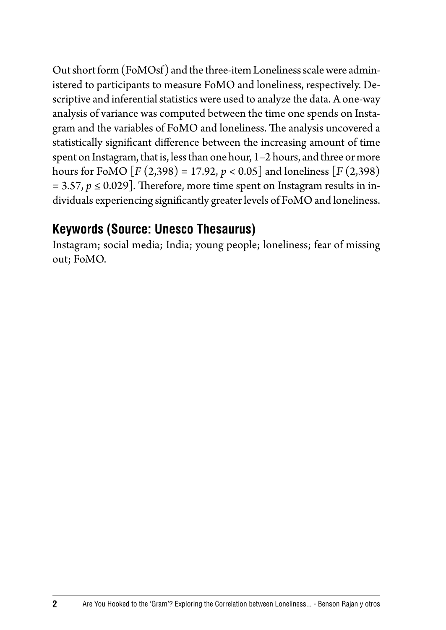Out short form (FoMOsf) and the three-item Loneliness scale were administered to participants to measure FoMO and loneliness, respectively. Descriptive and inferential statistics were used to analyze the data. A one-way analysis of variance was computed between the time one spends on Instagram and the variables of FoMO and loneliness. The analysis uncovered a statistically significant difference between the increasing amount of time spent on Instagram, that is, less than one hour, 1–2 hours, and three or more hours for FoMO  $[F (2,398) = 17.92, p < 0.05]$  and loneliness  $[F (2,398)$  $= 3.57, p \le 0.029$ . Therefore, more time spent on Instagram results in individuals experiencing significantly greater levels of FoMO and loneliness.

#### **Keywords (Source: Unesco Thesaurus)**

Instagram; social media; India; young people; loneliness; fear of missing out; FoMO.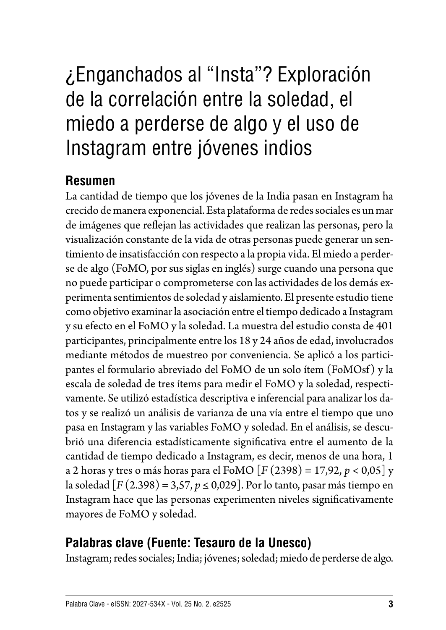# ¿Enganchados al "Insta"? Exploración de la correlación entre la soledad, el miedo a perderse de algo y el uso de Instagram entre jóvenes indios

#### **Resumen**

La cantidad de tiempo que los jóvenes de la India pasan en Instagram ha crecido de manera exponencial. Esta plataforma de redes sociales es un mar de imágenes que reflejan las actividades que realizan las personas, pero la visualización constante de la vida de otras personas puede generar un sentimiento de insatisfacción con respecto a la propia vida. El miedo a perderse de algo (FoMO, por sus siglas en inglés) surge cuando una persona que no puede participar o comprometerse con las actividades de los demás experimenta sentimientos de soledad y aislamiento. El presente estudio tiene como objetivo examinar la asociación entre el tiempo dedicado a Instagram y su efecto en el FoMO y la soledad. La muestra del estudio consta de 401 participantes, principalmente entre los 18 y 24 años de edad, involucrados mediante métodos de muestreo por conveniencia. Se aplicó a los participantes el formulario abreviado del FoMO de un solo ítem (FoMOsf) y la escala de soledad de tres ítems para medir el FoMO y la soledad, respectivamente. Se utilizó estadística descriptiva e inferencial para analizar los datos y se realizó un análisis de varianza de una vía entre el tiempo que uno pasa en Instagram y las variables FoMO y soledad. En el análisis, se descubrió una diferencia estadísticamente significativa entre el aumento de la cantidad de tiempo dedicado a Instagram, es decir, menos de una hora, 1 a 2 horas y tres o más horas para el FoMO [*F* (2398) = 17,92, *p* < 0,05] y la soledad [*F* (2.398) = 3,57, *p* ≤ 0,029]. Por lo tanto, pasar más tiempo en Instagram hace que las personas experimenten niveles significativamente mayores de FoMO y soledad.

#### **Palabras clave (Fuente: Tesauro de la Unesco)**

Instagram; redes sociales; India; jóvenes; soledad; miedo de perderse de algo.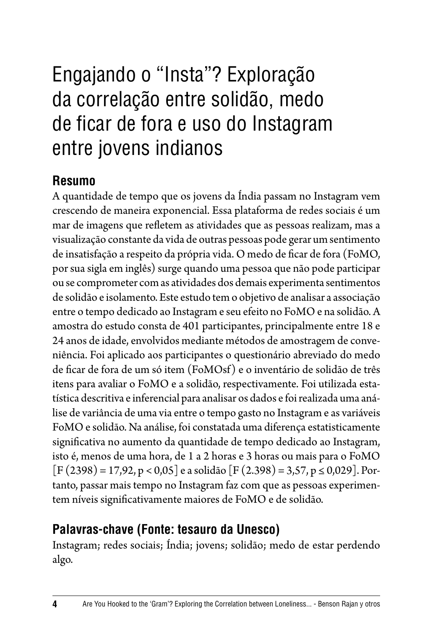## Engajando o "Insta"? Exploração da correlação entre solidão, medo de ficar de fora e uso do Instagram entre jovens indianos

#### **Resumo**

A quantidade de tempo que os jovens da Índia passam no Instagram vem crescendo de maneira exponencial. Essa plataforma de redes sociais é um mar de imagens que refletem as atividades que as pessoas realizam, mas a visualização constante da vida de outras pessoas pode gerar um sentimento de insatisfação a respeito da própria vida. O medo de ficar de fora (FoMO, por sua sigla em inglês) surge quando uma pessoa que não pode participar ou se comprometer com as atividades dos demais experimenta sentimentos de solidão e isolamento. Este estudo tem o objetivo de analisar a associação entre o tempo dedicado ao Instagram e seu efeito no FoMO e na solidão. A amostra do estudo consta de 401 participantes, principalmente entre 18 e 24 anos de idade, envolvidos mediante métodos de amostragem de conveniência. Foi aplicado aos participantes o questionário abreviado do medo de ficar de fora de um só item (FoMOsf) e o inventário de solidão de três itens para avaliar o FoMO e a solidão, respectivamente. Foi utilizada estatística descritiva e inferencial para analisar os dados e foi realizada uma análise de variância de uma via entre o tempo gasto no Instagram e as variáveis FoMO e solidão. Na análise, foi constatada uma diferença estatisticamente significativa no aumento da quantidade de tempo dedicado ao Instagram, isto é, menos de uma hora, de 1 a 2 horas e 3 horas ou mais para o FoMO  $[F (2398) = 17,92, p < 0,05]$  e a solidão  $[F (2.398) = 3,57, p \le 0,029]$ . Portanto, passar mais tempo no Instagram faz com que as pessoas experimentem níveis significativamente maiores de FoMO e de solidão.

#### **Palavras-chave (Fonte: tesauro da Unesco)**

Instagram; redes sociais; Índia; jovens; solidão; medo de estar perdendo algo.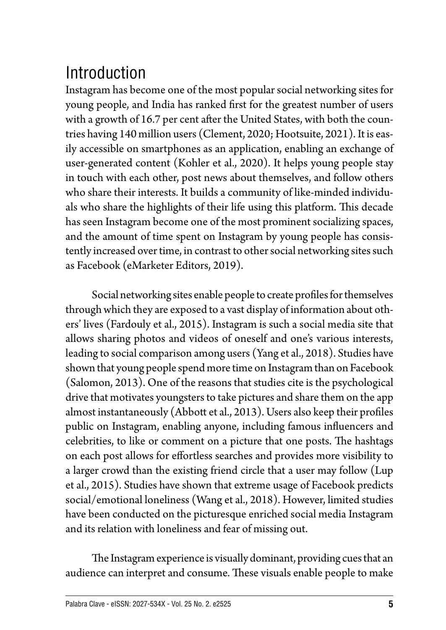## Introduction

Instagram has become one of the most popular social networking sites for young people, and India has ranked first for the greatest number of users with a growth of 16.7 per cent after the United States, with both the countries having 140 million users (Clement, 2020; Hootsuite, 2021). It is easily accessible on smartphones as an application, enabling an exchange of user-generated content (Kohler et al., 2020). It helps young people stay in touch with each other, post news about themselves, and follow others who share their interests. It builds a community of like-minded individuals who share the highlights of their life using this platform. This decade has seen Instagram become one of the most prominent socializing spaces, and the amount of time spent on Instagram by young people has consistently increased over time, in contrast to other social networking sites such as Facebook (eMarketer Editors, 2019).

Social networking sites enable people to create profiles for themselves through which they are exposed to a vast display of information about others' lives (Fardouly et al., 2015). Instagram is such a social media site that allows sharing photos and videos of oneself and one's various interests, leading to social comparison among users (Yang et al., 2018). Studies have shown that young people spend more time on Instagram than on Facebook (Salomon, 2013). One of the reasons that studies cite is the psychological drive that motivates youngsters to take pictures and share them on the app almost instantaneously (Abbott et al., 2013). Users also keep their profiles public on Instagram, enabling anyone, including famous influencers and celebrities, to like or comment on a picture that one posts. The hashtags on each post allows for effortless searches and provides more visibility to a larger crowd than the existing friend circle that a user may follow (Lup et al., 2015). Studies have shown that extreme usage of Facebook predicts social/emotional loneliness (Wang et al., 2018). However, limited studies have been conducted on the picturesque enriched social media Instagram and its relation with loneliness and fear of missing out.

The Instagram experience is visually dominant, providing cues that an audience can interpret and consume. These visuals enable people to make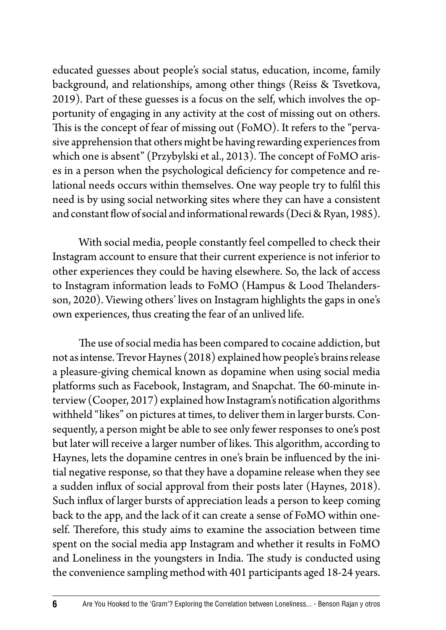educated guesses about people's social status, education, income, family background, and relationships, among other things (Reiss & Tsvetkova, 2019). Part of these guesses is a focus on the self, which involves the opportunity of engaging in any activity at the cost of missing out on others. This is the concept of fear of missing out (FoMO). It refers to the "pervasive apprehension that others might be having rewarding experiences from which one is absent" (Przybylski et al., 2013). The concept of FoMO arises in a person when the psychological deficiency for competence and relational needs occurs within themselves. One way people try to fulfil this need is by using social networking sites where they can have a consistent and constant flow of social and informational rewards (Deci & Ryan, 1985).

With social media, people constantly feel compelled to check their Instagram account to ensure that their current experience is not inferior to other experiences they could be having elsewhere. So, the lack of access to Instagram information leads to FoMO (Hampus & Lood Thelandersson, 2020). Viewing others' lives on Instagram highlights the gaps in one's own experiences, thus creating the fear of an unlived life.

The use of social media has been compared to cocaine addiction, but not as intense. Trevor Haynes (2018) explained how people's brains release a pleasure-giving chemical known as dopamine when using social media platforms such as Facebook, Instagram, and Snapchat. The 60-minute interview (Cooper, 2017) explained how Instagram's notification algorithms withheld "likes" on pictures at times, to deliver them in larger bursts. Consequently, a person might be able to see only fewer responses to one's post but later will receive a larger number of likes. This algorithm, according to Haynes, lets the dopamine centres in one's brain be influenced by the initial negative response, so that they have a dopamine release when they see a sudden influx of social approval from their posts later (Haynes, 2018). Such influx of larger bursts of appreciation leads a person to keep coming back to the app, and the lack of it can create a sense of FoMO within oneself. Therefore, this study aims to examine the association between time spent on the social media app Instagram and whether it results in FoMO and Loneliness in the youngsters in India. The study is conducted using the convenience sampling method with 401 participants aged 18-24 years.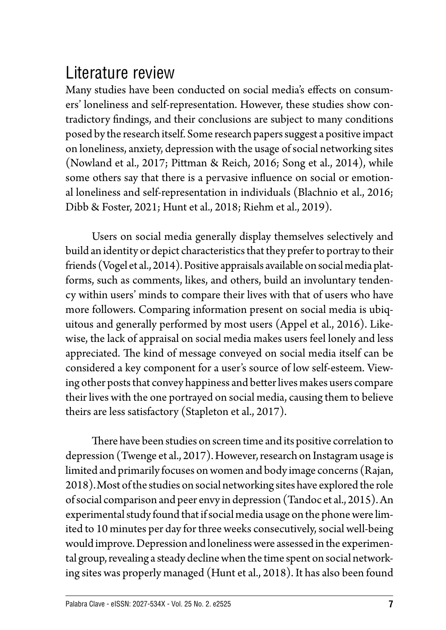### Literature review

Many studies have been conducted on social media's effects on consumers' loneliness and self-representation. However, these studies show contradictory findings, and their conclusions are subject to many conditions posed by the research itself. Some research papers suggest a positive impact on loneliness, anxiety, depression with the usage of social networking sites (Nowland et al., 2017; Pittman & Reich, 2016; Song et al., 2014), while some others say that there is a pervasive influence on social or emotional loneliness and self-representation in individuals (Blachnio et al., 2016; Dibb & Foster, 2021; Hunt et al., 2018; Riehm et al., 2019).

Users on social media generally display themselves selectively and build an identity or depict characteristics that they prefer to portray to their friends (Vogel et al., 2014). Positive appraisals available on social media platforms, such as comments, likes, and others, build an involuntary tendency within users' minds to compare their lives with that of users who have more followers. Comparing information present on social media is ubiquitous and generally performed by most users (Appel et al., 2016). Likewise, the lack of appraisal on social media makes users feel lonely and less appreciated. The kind of message conveyed on social media itself can be considered a key component for a user's source of low self-esteem. Viewing other posts that convey happiness and better lives makes users compare their lives with the one portrayed on social media, causing them to believe theirs are less satisfactory (Stapleton et al., 2017).

There have been studies on screen time and its positive correlation to depression (Twenge et al., 2017). However, research on Instagram usage is limited and primarily focuses on women and body image concerns (Rajan, 2018).Most of the studies on social networking sites have explored the role of social comparison and peer envy in depression (Tandoc et al., 2015). An experimental study found that if social media usage on the phone were limited to 10 minutes per day for three weeks consecutively, social well-being would improve. Depression and loneliness were assessed in the experimental group, revealing a steady decline when the time spent on social networking sites was properly managed (Hunt et al., 2018). It has also been found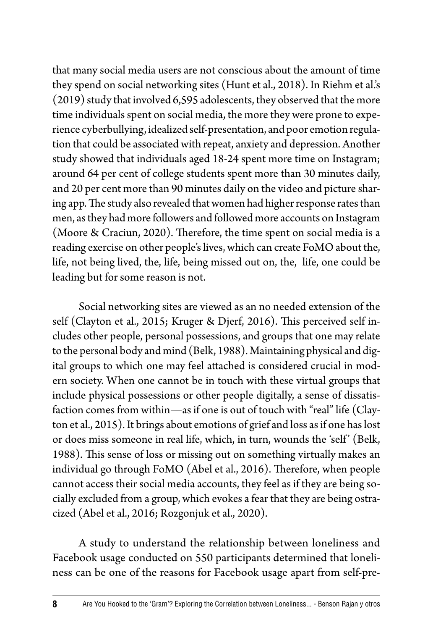that many social media users are not conscious about the amount of time they spend on social networking sites (Hunt et al., 2018). In Riehm et al.'s (2019) study that involved 6,595 adolescents, they observed that the more time individuals spent on social media, the more they were prone to experience cyberbullying, idealized self-presentation, and poor emotion regulation that could be associated with repeat, anxiety and depression. Another study showed that individuals aged 18-24 spent more time on Instagram; around 64 per cent of college students spent more than 30 minutes daily, and 20 per cent more than 90 minutes daily on the video and picture sharing app. The study also revealed that women had higher response rates than men, as they had more followers and followed more accounts on Instagram (Moore & Craciun, 2020). Therefore, the time spent on social media is a reading exercise on other people's lives, which can create FoMO about the, life, not being lived, the, life, being missed out on, the, life, one could be leading but for some reason is not.

Social networking sites are viewed as an no needed extension of the self (Clayton et al., 2015; Kruger & Djerf, 2016). This perceived self includes other people, personal possessions, and groups that one may relate to the personal body and mind (Belk, 1988). Maintaining physical and digital groups to which one may feel attached is considered crucial in modern society. When one cannot be in touch with these virtual groups that include physical possessions or other people digitally, a sense of dissatisfaction comes from within—as if one is out of touch with "real" life (Clayton et al., 2015). It brings about emotions of grief and loss as if one has lost or does miss someone in real life, which, in turn, wounds the 'self' (Belk, 1988). This sense of loss or missing out on something virtually makes an individual go through FoMO (Abel et al., 2016). Therefore, when people cannot access their social media accounts, they feel as if they are being socially excluded from a group, which evokes a fear that they are being ostracized (Abel et al., 2016; Rozgonjuk et al., 2020).

A study to understand the relationship between loneliness and Facebook usage conducted on 550 participants determined that loneliness can be one of the reasons for Facebook usage apart from self-pre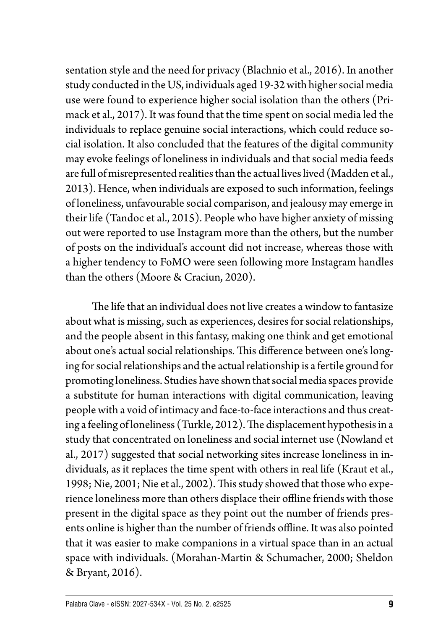sentation style and the need for privacy (Blachnio et al., 2016). In another study conducted in the US, individuals aged 19-32 with higher social media use were found to experience higher social isolation than the others (Primack et al., 2017). It was found that the time spent on social media led the individuals to replace genuine social interactions, which could reduce social isolation. It also concluded that the features of the digital community may evoke feelings of loneliness in individuals and that social media feeds are full of misrepresented realities than the actual lives lived (Madden et al., 2013). Hence, when individuals are exposed to such information, feelings of loneliness, unfavourable social comparison, and jealousy may emerge in their life (Tandoc et al., 2015). People who have higher anxiety of missing out were reported to use Instagram more than the others, but the number of posts on the individual's account did not increase, whereas those with a higher tendency to FoMO were seen following more Instagram handles than the others (Moore & Craciun, 2020).

The life that an individual does not live creates a window to fantasize about what is missing, such as experiences, desires for social relationships, and the people absent in this fantasy, making one think and get emotional about one's actual social relationships. This difference between one's longing for social relationships and the actual relationship is a fertile ground for promoting loneliness. Studies have shown that social media spaces provide a substitute for human interactions with digital communication, leaving people with a void of intimacy and face-to-face interactions and thus creating a feeling of loneliness (Turkle, 2012). The displacement hypothesis in a study that concentrated on loneliness and social internet use (Nowland et al., 2017) suggested that social networking sites increase loneliness in individuals, as it replaces the time spent with others in real life (Kraut et al., 1998; Nie, 2001; Nie et al., 2002). This study showed that those who experience loneliness more than others displace their offline friends with those present in the digital space as they point out the number of friends presents online is higher than the number of friends offline. It was also pointed that it was easier to make companions in a virtual space than in an actual space with individuals. (Morahan-Martin & Schumacher, 2000; Sheldon & Bryant, 2016).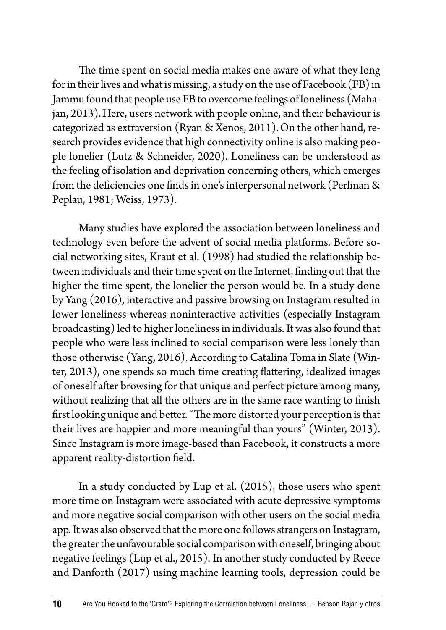The time spent on social media makes one aware of what they long for in their lives and what is missing, a study on the use of Facebook (FB) in Jammu found that people use FB to overcome feelings of loneliness (Mahajan, 2013).Here, users network with people online, and their behaviour is categorized as extraversion (Ryan & Xenos, 2011).On the other hand, research provides evidence that high connectivity online is also making people lonelier (Lutz & Schneider, 2020). Loneliness can be understood as the feeling of isolation and deprivation concerning others, which emerges from the deficiencies one finds in one's interpersonal network (Perlman & Peplau, 1981; Weiss, 1973).

Many studies have explored the association between loneliness and technology even before the advent of social media platforms. Before social networking sites, Kraut et al. (1998) had studied the relationship between individuals and their time spent on the Internet, finding out that the higher the time spent, the lonelier the person would be. In a study done by Yang (2016), interactive and passive browsing on Instagram resulted in lower loneliness whereas noninteractive activities (especially Instagram broadcasting) led to higher loneliness in individuals. It was also found that people who were less inclined to social comparison were less lonely than those otherwise (Yang, 2016). According to Catalina Toma in Slate (Winter, 2013), one spends so much time creating flattering, idealized images of oneself after browsing for that unique and perfect picture among many, without realizing that all the others are in the same race wanting to finish first looking unique and better. "The more distorted your perception is that their lives are happier and more meaningful than yours" (Winter, 2013). Since Instagram is more image-based than Facebook, it constructs a more apparent reality-distortion field.

In a study conducted by Lup et al. (2015), those users who spent more time on Instagram were associated with acute depressive symptoms and more negative social comparison with other users on the social media app. It was also observed that the more one follows strangers on Instagram, the greater the unfavourable social comparison with oneself, bringing about negative feelings (Lup et al., 2015). In another study conducted by Reece and Danforth (2017) using machine learning tools, depression could be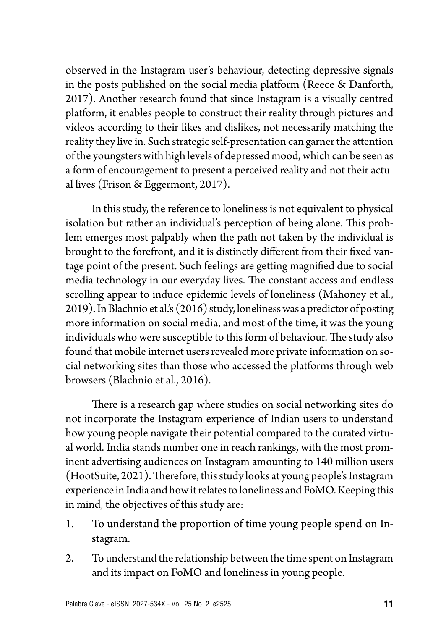observed in the Instagram user's behaviour, detecting depressive signals in the posts published on the social media platform (Reece & Danforth, 2017). Another research found that since Instagram is a visually centred platform, it enables people to construct their reality through pictures and videos according to their likes and dislikes, not necessarily matching the reality they live in. Such strategic self-presentation can garner the attention of the youngsters with high levels of depressed mood, which can be seen as a form of encouragement to present a perceived reality and not their actual lives (Frison & Eggermont, 2017).

In this study, the reference to loneliness is not equivalent to physical isolation but rather an individual's perception of being alone. This problem emerges most palpably when the path not taken by the individual is brought to the forefront, and it is distinctly different from their fixed vantage point of the present. Such feelings are getting magnified due to social media technology in our everyday lives. The constant access and endless scrolling appear to induce epidemic levels of loneliness (Mahoney et al., 2019). In Blachnio et al.'s (2016) study, loneliness was a predictor of posting more information on social media, and most of the time, it was the young individuals who were susceptible to this form of behaviour. The study also found that mobile internet users revealed more private information on social networking sites than those who accessed the platforms through web browsers (Blachnio et al., 2016).

There is a research gap where studies on social networking sites do not incorporate the Instagram experience of Indian users to understand how young people navigate their potential compared to the curated virtual world. India stands number one in reach rankings, with the most prominent advertising audiences on Instagram amounting to 140 million users (HootSuite, 2021). Therefore, this study looks at young people's Instagram experience in India and how it relates to loneliness and FoMO. Keeping this in mind, the objectives of this study are:

- 1. To understand the proportion of time young people spend on Instagram.
- 2. To understand the relationship between the time spent on Instagram and its impact on FoMO and loneliness in young people.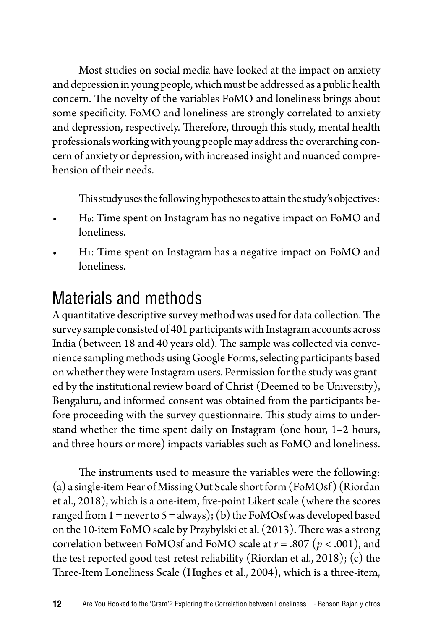Most studies on social media have looked at the impact on anxiety and depression in young people, which must be addressed as a public health concern. The novelty of the variables FoMO and loneliness brings about some specificity. FoMO and loneliness are strongly correlated to anxiety and depression, respectively. Therefore, through this study, mental health professionals working with young people may address the overarching concern of anxiety or depression, with increased insight and nuanced comprehension of their needs.

This study uses the following hypotheses to attain the study's objectives:

- Ho: Time spent on Instagram has no negative impact on FoMO and loneliness.
- H<sub>1</sub>: Time spent on Instagram has a negative impact on FoMO and loneliness.

### Materials and methods

A quantitative descriptive survey method was used for data collection. The survey sample consisted of 401 participants with Instagram accounts across India (between 18 and 40 years old). The sample was collected via convenience sampling methods using Google Forms, selecting participants based on whether they were Instagram users. Permission for the study was granted by the institutional review board of Christ (Deemed to be University), Bengaluru, and informed consent was obtained from the participants before proceeding with the survey questionnaire. This study aims to understand whether the time spent daily on Instagram (one hour, 1–2 hours, and three hours or more) impacts variables such as FoMO and loneliness.

The instruments used to measure the variables were the following: (a) a single-item Fear of Missing Out Scale short form (FoMOsf) (Riordan et al., 2018), which is a one-item, five-point Likert scale (where the scores ranged from  $1 =$  never to  $5 =$  always); (b) the FoMOsf was developed based on the 10-item FoMO scale by Przybylski et al. (2013). There was a strong correlation between FoMOsf and FoMO scale at *r* = .807 (*p* < .001), and the test reported good test-retest reliability (Riordan et al., 2018); (c) the Three-Item Loneliness Scale (Hughes et al., 2004), which is a three-item,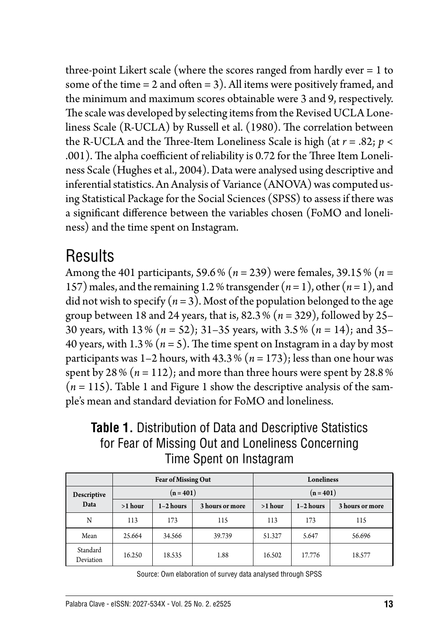three-point Likert scale (where the scores ranged from hardly ever = 1 to some of the time  $= 2$  and often  $= 3$ ). All items were positively framed, and the minimum and maximum scores obtainable were 3 and 9, respectively. The scale was developed by selecting items from the Revised UCLA Loneliness Scale (R-UCLA) by Russell et al. (1980). The correlation between the R-UCLA and the Three-Item Loneliness Scale is high (at  $r = .82$ ;  $p <$ .001). The alpha coefficient of reliability is 0.72 for the Three Item Loneliness Scale (Hughes et al., 2004). Data were analysed using descriptive and inferential statistics. An Analysis of Variance (ANOVA) was computed using Statistical Package for the Social Sciences (SPSS) to assess if there was a significant difference between the variables chosen (FoMO and loneliness) and the time spent on Instagram.

### Results

Among the 401 participants, 59.6% (*n* = 239) were females, 39.15% (*n* = 157) males, and the remaining 1.2% transgender  $(n=1)$ , other  $(n=1)$ , and did not wish to specify  $(n=3)$ . Most of the population belonged to the age group between 18 and 24 years, that is, 82.3% (*n* = 329), followed by 25– 30 years, with 13% (*n* = 52); 31–35 years, with 3.5% (*n* = 14); and 35– 40 years, with  $1.3\%$  ( $n = 5$ ). The time spent on Instagram in a day by most participants was  $1-2$  hours, with  $43.3\%$  ( $n = 173$ ); less than one hour was spent by 28% ( $n = 112$ ); and more than three hours were spent by 28.8%  $(n = 115)$ . Table 1 and Figure 1 show the descriptive analysis of the sample's mean and standard deviation for FoMO and loneliness.

#### **Table 1.** Distribution of Data and Descriptive Statistics for Fear of Missing Out and Loneliness Concerning Time Spent on Instagram

|                       |             | <b>Fear of Missing Out</b> |                 | <b>Loneliness</b> |             |                 |
|-----------------------|-------------|----------------------------|-----------------|-------------------|-------------|-----------------|
| Descriptive<br>Data   | $(n = 401)$ |                            |                 | $(n = 401)$       |             |                 |
|                       | >1 hour     | $1-2$ hours                | 3 hours or more | $>1$ hour         | $1-2$ hours | 3 hours or more |
| N                     | 113         | 173                        | 115             | 113               | 173         | 115             |
| Mean                  | 25.664      | 34.566                     | 39.739          | 51.327            | 5.647       | 56.696          |
| Standard<br>Deviation | 16.250      | 18.535                     | 1.88            | 16.502            | 17.776      | 18.577          |

Source: Own elaboration of survey data analysed through SPSS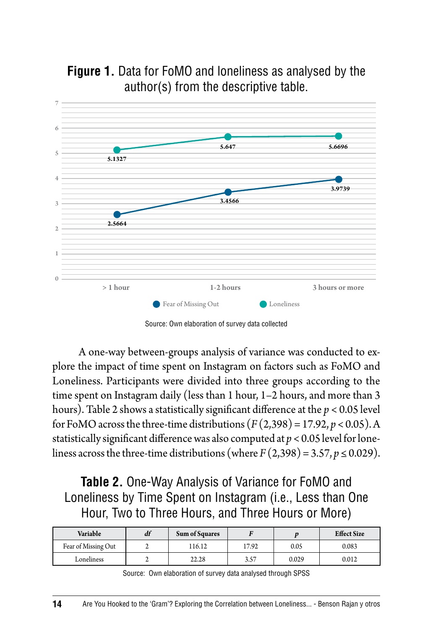

**Figure 1.** Data for FoMO and loneliness as analysed by the author(s) from the descriptive table.

A one-way between-groups analysis of variance was conducted to explore the impact of time spent on Instagram on factors such as FoMO and Loneliness. Participants were divided into three groups according to the time spent on Instagram daily (less than 1 hour, 1–2 hours, and more than 3 hours). Table 2 shows a statistically significant difference at the *p* < 0.05 level for FoMO across the three-time distributions  $(F(2,398) = 17.92, p < 0.05)$ . A statistically significant difference was also computed at *p* < 0.05 level for loneliness across the three-time distributions (where  $F(2,398) = 3.57, p \le 0.029$ ).

#### **Table 2.** One-Way Analysis of Variance for FoMO and Loneliness by Time Spent on Instagram (i.e., Less than One Hour, Two to Three Hours, and Three Hours or More)

| Variable            | df | <b>Sum of Squares</b> |       |       | <b>Effect Size</b> |
|---------------------|----|-----------------------|-------|-------|--------------------|
| Fear of Missing Out |    | 116.12                | 17.92 | 0.05  | 0.083              |
| Loneliness          |    | 22.28                 | 3.57  | 0.029 | 0.012              |

Source: Own elaboration of survey data analysed through SPSS

Source: Own elaboration of survey data collected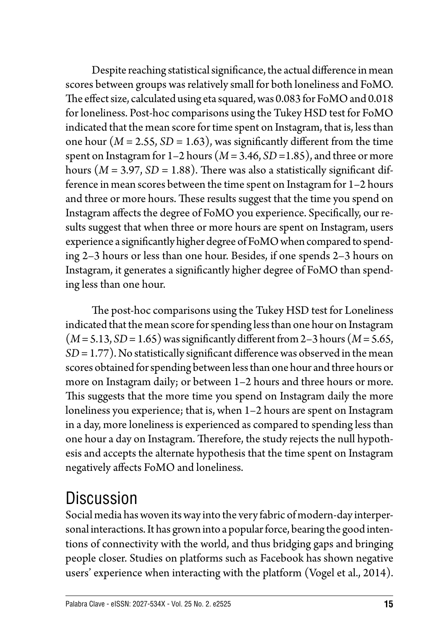Despite reaching statistical significance, the actual difference in mean scores between groups was relatively small for both loneliness and FoMO. The effect size, calculated using eta squared, was 0.083 for FoMO and 0.018 for loneliness. Post-hoc comparisons using the Tukey HSD test for FoMO indicated that the mean score for time spent on Instagram, that is, less than one hour ( $M = 2.55$ ,  $SD = 1.63$ ), was significantly different from the time spent on Instagram for 1–2 hours (*M* = 3.46, *SD* =1.85), and three or more hours  $(M = 3.97, SD = 1.88)$ . There was also a statistically significant difference in mean scores between the time spent on Instagram for 1–2 hours and three or more hours. These results suggest that the time you spend on Instagram affects the degree of FoMO you experience. Specifically, our results suggest that when three or more hours are spent on Instagram, users experience a significantly higher degree of FoMO when compared to spending 2–3 hours or less than one hour. Besides, if one spends 2–3 hours on Instagram, it generates a significantly higher degree of FoMO than spending less than one hour.

The post-hoc comparisons using the Tukey HSD test for Loneliness indicated that the mean score for spending less than one hour on Instagram  $(M = 5.13, SD = 1.65)$  was significantly different from 2-3 hours  $(M = 5.65,$ *SD* = 1.77). No statistically significant difference was observed in the mean scores obtained for spending between less than one hour and three hours or more on Instagram daily; or between 1–2 hours and three hours or more. This suggests that the more time you spend on Instagram daily the more loneliness you experience; that is, when 1–2 hours are spent on Instagram in a day, more loneliness is experienced as compared to spending less than one hour a day on Instagram. Therefore, the study rejects the null hypothesis and accepts the alternate hypothesis that the time spent on Instagram negatively affects FoMO and loneliness.

### **Discussion**

Social media has woven its way into the very fabric of modern-day interpersonal interactions. It has grown into a popular force, bearing the good intentions of connectivity with the world, and thus bridging gaps and bringing people closer. Studies on platforms such as Facebook has shown negative users' experience when interacting with the platform (Vogel et al., 2014).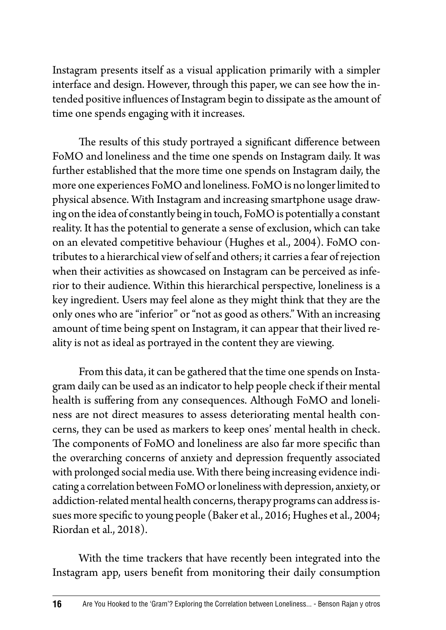Instagram presents itself as a visual application primarily with a simpler interface and design. However, through this paper, we can see how the intended positive influences of Instagram begin to dissipate as the amount of time one spends engaging with it increases.

The results of this study portrayed a significant difference between FoMO and loneliness and the time one spends on Instagram daily. It was further established that the more time one spends on Instagram daily, the more one experiences FoMO and loneliness. FoMO is no longer limited to physical absence. With Instagram and increasing smartphone usage drawing on the idea of constantly being in touch, FoMO is potentially a constant reality. It has the potential to generate a sense of exclusion, which can take on an elevated competitive behaviour (Hughes et al., 2004). FoMO contributes to a hierarchical view of self and others; it carries a fear of rejection when their activities as showcased on Instagram can be perceived as inferior to their audience. Within this hierarchical perspective, loneliness is a key ingredient. Users may feel alone as they might think that they are the only ones who are "inferior" or "not as good as others." With an increasing amount of time being spent on Instagram, it can appear that their lived reality is not as ideal as portrayed in the content they are viewing.

From this data, it can be gathered that the time one spends on Instagram daily can be used as an indicator to help people check if their mental health is suffering from any consequences. Although FoMO and loneliness are not direct measures to assess deteriorating mental health concerns, they can be used as markers to keep ones' mental health in check. The components of FoMO and loneliness are also far more specific than the overarching concerns of anxiety and depression frequently associated with prolonged social media use. With there being increasing evidence indicating a correlation between FoMO or loneliness with depression, anxiety, or addiction-related mental health concerns, therapy programs can address issues more specific to young people (Baker et al., 2016; Hughes et al., 2004; Riordan et al., 2018).

With the time trackers that have recently been integrated into the Instagram app, users benefit from monitoring their daily consumption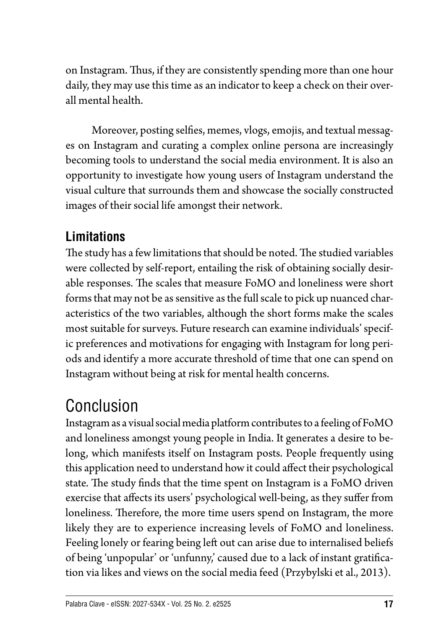on Instagram. Thus, if they are consistently spending more than one hour daily, they may use this time as an indicator to keep a check on their overall mental health.

Moreover, posting selfies, memes, vlogs, emojis, and textual messages on Instagram and curating a complex online persona are increasingly becoming tools to understand the social media environment. It is also an opportunity to investigate how young users of Instagram understand the visual culture that surrounds them and showcase the socially constructed images of their social life amongst their network.

### **Limitations**

The study has a few limitations that should be noted. The studied variables were collected by self-report, entailing the risk of obtaining socially desirable responses. The scales that measure FoMO and loneliness were short forms that may not be as sensitive as the full scale to pick up nuanced characteristics of the two variables, although the short forms make the scales most suitable for surveys. Future research can examine individuals' specific preferences and motivations for engaging with Instagram for long periods and identify a more accurate threshold of time that one can spend on Instagram without being at risk for mental health concerns.

## Conclusion

Instagram as a visual social media platform contributes to a feeling of FoMO and loneliness amongst young people in India. It generates a desire to belong, which manifests itself on Instagram posts. People frequently using this application need to understand how it could affect their psychological state. The study finds that the time spent on Instagram is a FoMO driven exercise that affects its users' psychological well-being, as they suffer from loneliness. Therefore, the more time users spend on Instagram, the more likely they are to experience increasing levels of FoMO and loneliness. Feeling lonely or fearing being left out can arise due to internalised beliefs of being 'unpopular' or 'unfunny,' caused due to a lack of instant gratification via likes and views on the social media feed (Przybylski et al., 2013).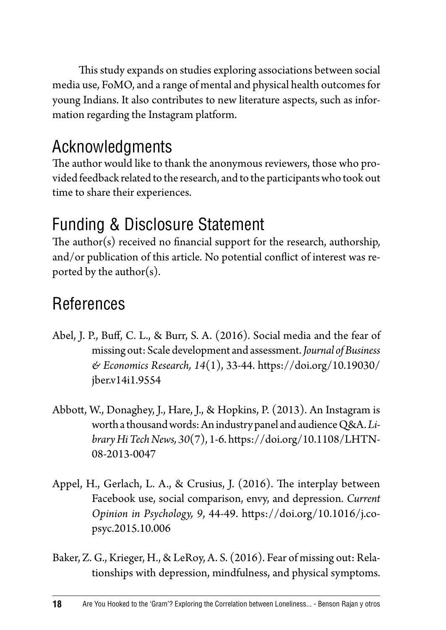This study expands on studies exploring associations between social media use, FoMO, and a range of mental and physical health outcomes for young Indians. It also contributes to new literature aspects, such as information regarding the Instagram platform.

### Acknowledgments

The author would like to thank the anonymous reviewers, those who provided feedback related to the research, and to the participants who took out time to share their experiences.

### Funding & Disclosure Statement

The author(s) received no financial support for the research, authorship, and/or publication of this article. No potential conflict of interest was reported by the author( $s$ ).

### References

- Abel, J. P., Buff, C. L., & Burr, S. A. (2016). Social media and the fear of missing out: Scale development and assessment. *Journal of Business & Economics Research, 14*(1), 33-44. [https://doi.org/10.19030/](https://doi.org/10.19030/jber.v14i1.9554) [jber.v14i1.9554](https://doi.org/10.19030/jber.v14i1.9554)
- Abbott, W., Donaghey, J., Hare, J., & Hopkins, P. (2013). An Instagram is worth a thousand words: An industry panel and audience Q&A. *Library Hi Tech News, 30*(7), 1-6. [https://doi.org/10.1108/LHTN-](https://doi.org/10.1108/LHTN-08-2013-0047)[08-2013-0047](https://doi.org/10.1108/LHTN-08-2013-0047)
- Appel, H., Gerlach, L. A., & Crusius, J. (2016). The interplay between Facebook use, social comparison, envy, and depression. *Current Opinion in Psychology, 9*, 44-49. [https://doi.org/10.1016/j.co](https://doi.org/10.1016/j.copsyc.2015.10.006)[psyc.2015.10.006](https://doi.org/10.1016/j.copsyc.2015.10.006)
- Baker, Z. G., Krieger, H., & LeRoy, A. S. (2016). Fear of missing out: Relationships with depression, mindfulness, and physical symptoms.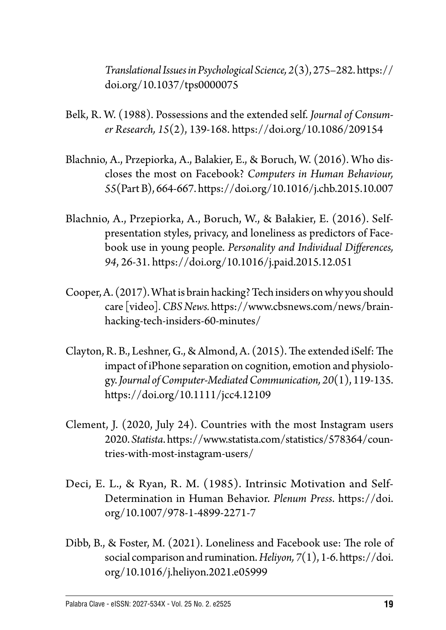*Translational Issues in Psychological Science, 2*(3), 275–282. [https://](https://doi.org/10.1037/tps0000075) [doi.org/10.1037/tps0000075](https://doi.org/10.1037/tps0000075)

- Belk, R. W. (1988). Possessions and the extended self. *Journal of Consumer Research, 15*(2), 139-168. <https://doi.org/10.1086/209154>
- Blachnio, A., Przepiorka, A., Balakier, E., & Boruch, W. (2016). Who discloses the most on Facebook? *Computers in Human Behaviour, 55*(Part B), 664-667.<https://doi.org/10.1016/j.chb.2015.10.007>
- Blachnio, A., Przepiorka, A., Boruch, W., & Bałakier, E. (2016). Selfpresentation styles, privacy, and loneliness as predictors of Facebook use in young people. *Personality and Individual Differences, 94*, 26-31.<https://doi.org/10.1016/j.paid.2015.12.051>
- Cooper, A. (2017). What is brain hacking? Tech insiders on why you should care [video]. *CBS News.* [https://www.cbsnews.com/news/brain](https://www.cbsnews.com/news/brain-hacking-tech-insiders-60-minutes/)[hacking-tech-insiders-60-minutes/](https://www.cbsnews.com/news/brain-hacking-tech-insiders-60-minutes/)
- Clayton, R. B., Leshner, G., & Almond, A. (2015). The extended iSelf: The impact of iPhone separation on cognition, emotion and physiology. *Journal of Computer-Mediated Communication, 20*(1), 119-135. <https://doi.org/10.1111/jcc4.12109>
- Clement, J. (2020, July 24). Countries with the most Instagram users 2020. *Statista*. [https://www.statista.com/statistics/578364/coun](https://www.statista.com/statistics/578364/countries-with-most-instagram-users/)[tries-with-most-instagram-users/](https://www.statista.com/statistics/578364/countries-with-most-instagram-users/)
- Deci, E. L., & Ryan, R. M. (1985). Intrinsic Motivation and Self-Determination in Human Behavior. *Plenum Press*. [https://doi.](https://doi.org/10.1007/978-1-4899-2271-7) [org/10.1007/978-1-4899-2271-7](https://doi.org/10.1007/978-1-4899-2271-7)
- Dibb, B., & Foster, M. (2021). Loneliness and Facebook use: The role of social comparison and rumination. *Heliyon, 7*(1), 1-6. [https://doi.](https://doi.org/10.1016/j.heliyon.2021.e05999) [org/10.1016/j.heliyon.2021.e05999](https://doi.org/10.1016/j.heliyon.2021.e05999)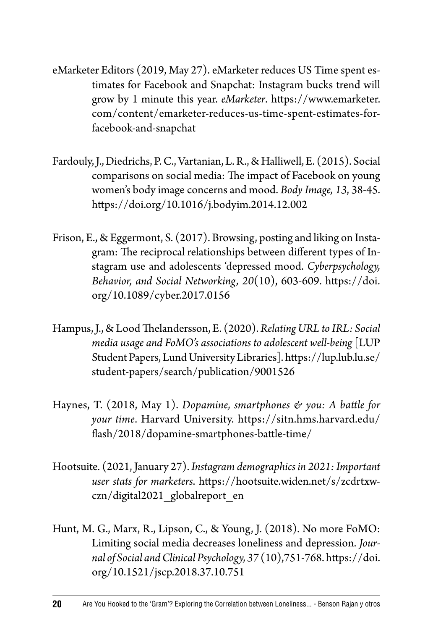- eMarketer Editors (2019, May 27). eMarketer reduces US Time spent estimates for Facebook and Snapchat: Instagram bucks trend will grow by 1 minute this year. *eMarketer*. [https://www.emarketer.](https://www.emarketer.com/content/emarketer-reduces-us-time-spent-estimates-for-facebook-and-snapchat) [com/content/emarketer-reduces-us-time-spent-estimates-for](https://www.emarketer.com/content/emarketer-reduces-us-time-spent-estimates-for-facebook-and-snapchat)[facebook-and-snapchat](https://www.emarketer.com/content/emarketer-reduces-us-time-spent-estimates-for-facebook-and-snapchat)
- Fardouly, J., Diedrichs, P. C., Vartanian, L. R., & Halliwell, E. (2015). Social comparisons on social media: The impact of Facebook on young women's body image concerns and mood. *Body Image, 13*, 38-45. <https://doi.org/10.1016/j.bodyim.2014.12.002>
- Frison, E., & Eggermont, S. (2017). Browsing, posting and liking on Instagram: The reciprocal relationships between different types of Instagram use and adolescents 'depressed mood. *Cyberpsychology, Behavior, and Social Networking, 20*(10), 603-609. [https://doi.](https://doi.org/10.1089/cyber.2017.0156) [org/10.1089/cyber.2017.0156](https://doi.org/10.1089/cyber.2017.0156)
- Hampus, J., & Lood Thelandersson, E. (2020). *Relating URL to IRL: Social media usage and FoMO's associations to adolescent well-being* [LUP Student Papers, Lund University Libraries]. [https://lup.lub.lu.se/](https://lup.lub.lu.se/student-papers/search/publication/9001526) [student-papers/search/publication/9001526](https://lup.lub.lu.se/student-papers/search/publication/9001526)
- Haynes, T. (2018, May 1). *Dopamine, smartphones & you: A battle for your time*. Harvard University. [https://sitn.hms.harvard.edu/](https://sitn.hms.harvard.edu/flash/2018/dopamine-smartphones-battle-time/) [flash/2018/dopamine-smartphones-battle-time/](https://sitn.hms.harvard.edu/flash/2018/dopamine-smartphones-battle-time/)
- Hootsuite. (2021, January 27). *Instagram demographics in 2021: Important user stats for marketers*. [https://hootsuite.widen.net/s/zcdrtxw](https://hootsuite.widen.net/s/zcdrtxwczn/digital2021_globalreport_en)[czn/digital2021\\_globalreport\\_en](https://hootsuite.widen.net/s/zcdrtxwczn/digital2021_globalreport_en)
- Hunt, M. G., Marx, R., Lipson, C., & Young, J. (2018). No more FoMO: Limiting social media decreases loneliness and depression. *Journal of Social and Clinical Psychology, 37* (10),751-768. [https://doi.](https://doi.org/10.1521/jscp.2018.37.10.751) [org/10.1521/jscp.2018.37.10.751](https://doi.org/10.1521/jscp.2018.37.10.751)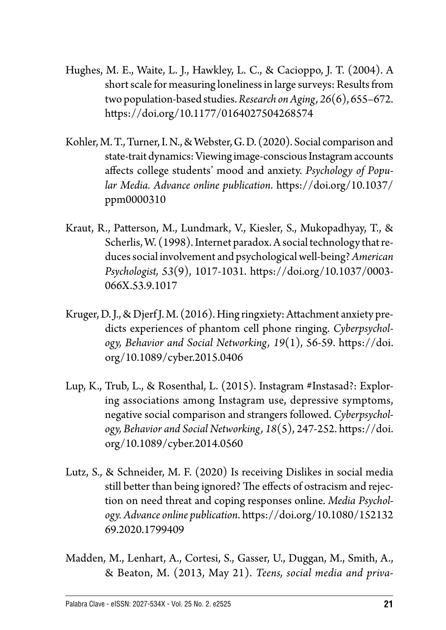- Hughes, M. E., Waite, L. J., Hawkley, L. C., & Cacioppo, J. T. (2004). A short scale for measuring loneliness in large surveys: Results from two population-based studies. *Research on Aging, 26*(6), 655–672. <https://doi.org/10.1177/0164027504268574>
- Kohler, M. T., Turner, I. N., & Webster, G. D. (2020). Social comparison and state-trait dynamics: Viewing image-conscious Instagram accounts affects college students' mood and anxiety. *Psychology of Popular Media. Advance online publication*. [https://doi.org/10.1037/](https://doi.org/10.1037/ppm0000310) [ppm0000310](https://doi.org/10.1037/ppm0000310)
- Kraut, R., Patterson, M., Lundmark, V., Kiesler, S., Mukopadhyay, T., & Scherlis, W. (1998). Internet paradox. A social technology that reduces social involvement and psychological well-being? *American Psychologist, 53*(9), 1017-1031. [https://doi.org/10.1037/0003-](https://doi.org/10.1037/0003-066X.53.9.1017) [066X.53.9.1017](https://doi.org/10.1037/0003-066X.53.9.1017)
- Kruger, D. J., & Djerf J. M. (2016). Hing ringxiety: Attachment anxiety predicts experiences of phantom cell phone ringing. *Cyberpsychology, Behavior and Social Networking, 19*(1), 56-59. [https://doi.](https://doi.org/10.1089/cyber.2015.0406) [org/10.1089/cyber.2015.0406](https://doi.org/10.1089/cyber.2015.0406)
- Lup, K., Trub, L., & Rosenthal, L. (2015). Instagram #Instasad?: Exploring associations among Instagram use, depressive symptoms, negative social comparison and strangers followed. *Cyberpsychology, Behavior and Social Networking, 18*(5), 247-252. [https://doi.](https://doi.org/10.1089/cyber.2014.0560) [org/10.1089/cyber.2014.0560](https://doi.org/10.1089/cyber.2014.0560)
- Lutz, S., & Schneider, M. F. (2020) Is receiving Dislikes in social media still better than being ignored? The effects of ostracism and rejection on need threat and coping responses online. *Media Psychology. Advance online publication*. [https://doi.org/10.1080/152132](https://doi.org/10.1080/15213269.2020.1799409) [69.2020.1799409](https://doi.org/10.1080/15213269.2020.1799409)
- Madden, M., Lenhart, A., Cortesi, S., Gasser, U., Duggan, M., Smith, A., & Beaton, M. (2013, May 21). *Teens, social media and priva-*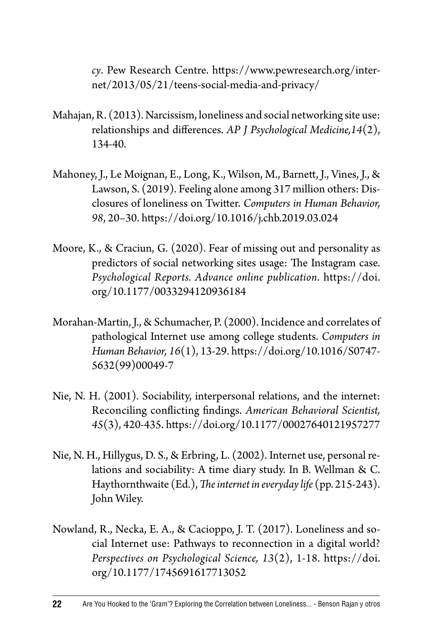*cy*. Pew Research Centre. [https://www.pewresearch.org/inter](https://www.pewresearch.org/internet/2013/05/21/teens-social-media-and-privacy/)[net/2013/05/21/teens-social-media-and-privacy/](https://www.pewresearch.org/internet/2013/05/21/teens-social-media-and-privacy/)

- Mahajan, R. (2013). Narcissism, loneliness and social networking site use: relationships and differences. *AP J Psychological Medicine,14*(2), 134-40.
- Mahoney, J., Le Moignan, E., Long, K., Wilson, M., Barnett, J., Vines, J., & Lawson, S. (2019). Feeling alone among 317 million others: Disclosures of loneliness on Twitter. *Computers in Human Behavior, 98*, 20–30.<https://doi.org/10.1016/j.chb.2019.03.024>
- Moore, K., & Craciun, G. (2020). Fear of missing out and personality as predictors of social networking sites usage: The Instagram case. *Psychological Reports. Advance online publication*. [https://doi.](https://doi.org/10.1177/0033294120936184) [org/10.1177/0033294120936184](https://doi.org/10.1177/0033294120936184)
- Morahan-Martin, J., & Schumacher, P. (2000). Incidence and correlates of pathological Internet use among college students. *Computers in Human Behavior, 16*(1), 13-29. [https://doi.org/10.1016/S0747-](https://doi.org/10.1016/S0747-5632(99)00049-7) [5632\(99\)00049-7](https://doi.org/10.1016/S0747-5632(99)00049-7)
- Nie, N. H. (2001). Sociability, interpersonal relations, and the internet: Reconciling conflicting findings. *American Behavioral Scientist, 45*(3), 420-435.<https://doi.org/10.1177/00027640121957277>
- Nie, N. H., Hillygus, D. S., & Erbring, L. (2002). Internet use, personal relations and sociability: A time diary study. In B. Wellman & C. Haythornthwaite (Ed.), *The internet in everyday life* (pp. 215-243). John Wiley.
- Nowland, R., Necka, E. A., & Cacioppo, J. T. (2017). Loneliness and social Internet use: Pathways to reconnection in a digital world? *Perspectives on Psychological Science, 13*(2), 1-18. [https://doi.](https://doi.org/10.1177/1745691617713052) [org/10.1177/1745691617713052](https://doi.org/10.1177/1745691617713052)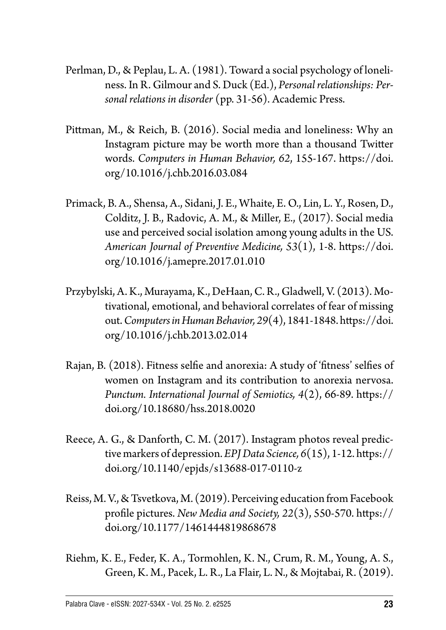- Perlman, D., & Peplau, L. A. (1981). Toward a social psychology of loneliness. In R. Gilmour and S. Duck (Ed.), *Personal relationships: Personal relations in disorder* (pp. 31-56). Academic Press.
- Pittman, M., & Reich, B. (2016). Social media and loneliness: Why an Instagram picture may be worth more than a thousand Twitter words. *Computers in Human Behavior, 62*, 155-167. [https://doi.](https://doi.org/10.1016/j.chb.2016.03.084) [org/10.1016/j.chb.2016.03.084](https://doi.org/10.1016/j.chb.2016.03.084)
- Primack, B. A., Shensa, A., Sidani, J. E., Whaite, E. O., Lin, L. Y., Rosen, D., Colditz, J. B., Radovic, A. M., & Miller, E., (2017). Social media use and perceived social isolation among young adults in the US. *American Journal of Preventive Medicine, 53*(1), 1-8. [https://doi.](https://doi.org/10.1016/j.amepre.2017.01.010) [org/10.1016/j.amepre.2017.01.010](https://doi.org/10.1016/j.amepre.2017.01.010)
- Przybylski, A. K., Murayama, K., DeHaan, C. R., Gladwell, V. (2013). Motivational, emotional, and behavioral correlates of fear of missing out. *Computers in HumanBehavior, 29*(4), 1841-1848. [https://doi.](https://doi.org/10.1016/j.chb.2013.02.014) [org/10.1016/j.chb.2013.02.014](https://doi.org/10.1016/j.chb.2013.02.014)
- Rajan, B. (2018). Fitness selfie and anorexia: A study of 'fitness' selfies of women on Instagram and its contribution to anorexia nervosa. *Punctum. International Journal of Semiotics, 4*(2), 66-89. [https://](https://doi.org/10.18680/hss.2018.0020) [doi.org/10.18680/hss.2018.0020](https://doi.org/10.18680/hss.2018.0020)
- Reece, A. G., & Danforth, C. M. (2017). Instagram photos reveal predictive markers of depression. *EPJ Data Science, 6*(15), 1-12. [https://](https://doi.org/10.1140/epjds/s13688-017-0110-z) [doi.org/10.1140/epjds/s13688-017-0110-z](https://doi.org/10.1140/epjds/s13688-017-0110-z)
- Reiss, M. V., & Tsvetkova, M. (2019). Perceiving education from Facebook profile pictures. *New Media and Society, 22*(3), 550-570. [https://](https://doi.org/10.1177/1461444819868678) [doi.org/10.1177/1461444819868678](https://doi.org/10.1177/1461444819868678)
- Riehm, K. E., Feder, K. A., Tormohlen, K. N., Crum, R. M., Young, A. S., Green, K. M., Pacek, L. R., La Flair, L. N., & Mojtabai, R. (2019).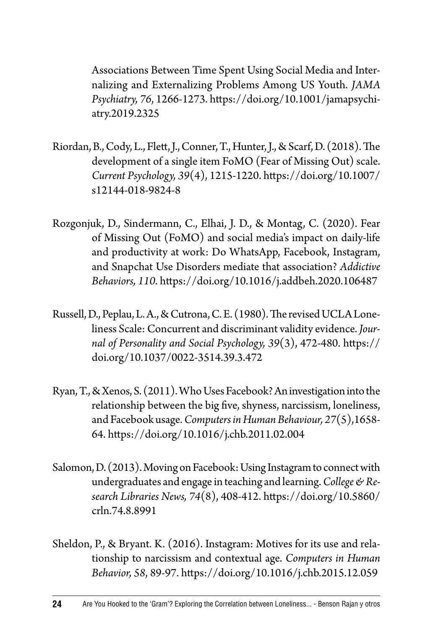Associations Between Time Spent Using Social Media and Internalizing and Externalizing Problems Among US Youth. *JAMA Psychiatry, 76*, 1266-1273. [https://doi.org/10.1001/jamapsychi](https://doi.org/10.1001/jamapsychiatry.2019.2325)[atry.2019.2325](https://doi.org/10.1001/jamapsychiatry.2019.2325)

- Riordan, B., Cody, L., Flett, J., Conner, T., Hunter, J., & Scarf, D. (2018). The development of a single item FoMO (Fear of Missing Out) scale. *Current Psychology, 39*(4), 1215-1220. [https://doi.org/10.1007/](https://doi.org/10.1007/s12144-018-9824-8) [s12144-018-9824-8](https://doi.org/10.1007/s12144-018-9824-8)
- Rozgonjuk, D., Sindermann, C., Elhai, J. D., & Montag, C. (2020). Fear of Missing Out (FoMO) and social media's impact on daily-life and productivity at work: Do WhatsApp, Facebook, Instagram, and Snapchat Use Disorders mediate that association? *Addictive Behaviors, 110*. <https://doi.org/10.1016/j.addbeh.2020.106487>
- Russell, D., Peplau, L. A., & Cutrona, C. E. (1980). The revised UCLA Loneliness Scale: Concurrent and discriminant validity evidence. *Journal of Personality and Social Psychology, 39*(3), 472-480. [https://](https://doi.org/10.1037/0022-3514.39.3.472) [doi.org/10.1037/0022-3514.39.3.472](https://doi.org/10.1037/0022-3514.39.3.472)
- Ryan, T., & Xenos, S. (2011). Who Uses Facebook? An investigation into the relationship between the big five, shyness, narcissism, loneliness, and Facebook usage. *Computers in Human Behaviour, 27*(5),1658- 64. <https://doi.org/10.1016/j.chb.2011.02.004>
- Salomon, D. (2013). Moving on Facebook: Using Instagram to connect with undergraduates and engage in teaching and learning. *College & Research Libraries News, 74*(8), 408-412. [https://doi.org/10.5860/](https://doi.org/10.5860/crln.74.8.8991) [crln.74.8.8991](https://doi.org/10.5860/crln.74.8.8991)
- Sheldon, P., & Bryant. K. (2016). Instagram: Motives for its use and relationship to narcissism and contextual age. *Computers in Human Behavior, 58*, 89-97. <https://doi.org/10.1016/j.chb.2015.12.059>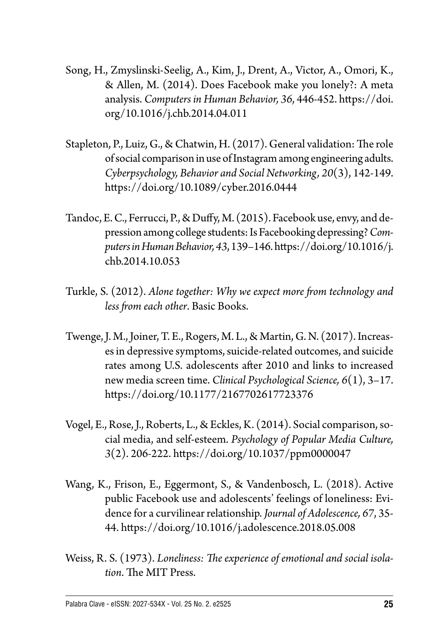- Song, H., Zmyslinski-Seelig, A., Kim, J., Drent, A., Victor, A., Omori, K., & Allen, M. (2014). Does Facebook make you lonely?: A meta analysis. *Computers in Human Behavior, 36*, 446-452. [https://doi.](https://doi.org/10.1016/j.chb.2014.04.011) [org/10.1016/j.chb.2014.04.011](https://doi.org/10.1016/j.chb.2014.04.011)
- Stapleton, P., Luiz, G., & Chatwin, H. (2017). General validation: The role of social comparison in use of Instagram among engineering adults. *Cyberpsychology, Behavior and Social Networking, 20*(3), 142-149. <https://doi.org/10.1089/cyber.2016.0444>
- Tandoc, E. C., Ferrucci, P., & Duffy, M. (2015). Facebook use, envy, and depression among college students: Is Facebooking depressing? *Computers in Human Behavior, 43*, 139–146. [https://doi.org/10.1016/j.](https://doi.org/10.1016/j.chb.2014.10.053) [chb.2014.10.053](https://doi.org/10.1016/j.chb.2014.10.053)
- Turkle, S. (2012). *Alone together: Why we expect more from technology and less from each other*. Basic Books.
- Twenge, J. M., Joiner, T. E., Rogers, M. L., & Martin, G. N. (2017). Increases in depressive symptoms, suicide-related outcomes, and suicide rates among U.S. adolescents after 2010 and links to increased new media screen time. *Clinical Psychological Science, 6*(1), 3–17. <https://doi.org/10.1177/2167702617723376>
- Vogel, E., Rose, J., Roberts, L., & Eckles, K. (2014). Social comparison, social media, and self-esteem. *Psychology of Popular Media Culture, 3*(2). 206-222.<https://doi.org/10.1037/ppm0000047>
- Wang, K., Frison, E., Eggermont, S., & Vandenbosch, L. (2018). Active public Facebook use and adolescents' feelings of loneliness: Evidence for a curvilinear relationship. *Journal of Adolescence, 67*, 35- 44. <https://doi.org/10.1016/j.adolescence.2018.05.008>
- Weiss, R. S. (1973). *Loneliness: The experience of emotional and social isolation*. The MIT Press.